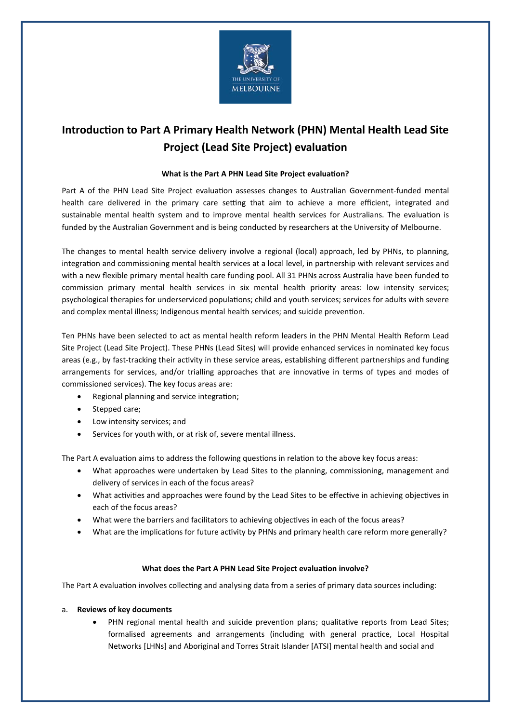

# **Introduction to Part A Primary Health Network (PHN) Mental Health Lead Site Project (Lead Site Project) evaluation**

## **What is the Part A PHN Lead Site Project evaluation?**

Part A of the PHN Lead Site Project evaluation assesses changes to Australian Government-funded mental health care delivered in the primary care setting that aim to achieve a more efficient, integrated and sustainable mental health system and to improve mental health services for Australians. The evaluation is funded by the Australian Government and is being conducted by researchers at the University of Melbourne.

The changes to mental health service delivery involve a regional (local) approach, led by PHNs, to planning, integration and commissioning mental health services at a local level, in partnership with relevant services and with a new flexible primary mental health care funding pool. All 31 PHNs across Australia have been funded to commission primary mental health services in six mental health priority areas: low intensity services; psychological therapies for underserviced populations; child and youth services; services for adults with severe and complex mental illness; Indigenous mental health services; and suicide prevention.

Ten PHNs have been selected to act as mental health reform leaders in the PHN Mental Health Reform Lead Site Project (Lead Site Project). These PHNs (Lead Sites) will provide enhanced services in nominated key focus areas (e.g., by fast-tracking their activity in these service areas, establishing different partnerships and funding arrangements for services, and/or trialling approaches that are innovative in terms of types and modes of commissioned services). The key focus areas are:

- Regional planning and service integration;
- Stepped care;
- Low intensity services; and
- Services for youth with, or at risk of, severe mental illness.

The Part A evaluation aims to address the following questions in relation to the above key focus areas:

- What approaches were undertaken by Lead Sites to the planning, commissioning, management and delivery of services in each of the focus areas?
- What activities and approaches were found by the Lead Sites to be effective in achieving objectives in each of the focus areas?
- What were the barriers and facilitators to achieving objectives in each of the focus areas?
- What are the implications for future activity by PHNs and primary health care reform more generally?

#### **What does the Part A PHN Lead Site Project evaluation involve?**

The Part A evaluation involves collecting and analysing data from a series of primary data sources including:

#### a. **Reviews of key documents**

• PHN regional mental health and suicide prevention plans; qualitative reports from Lead Sites; formalised agreements and arrangements (including with general practice, Local Hospital Networks [LHNs] and Aboriginal and Torres Strait Islander [ATSI] mental health and social and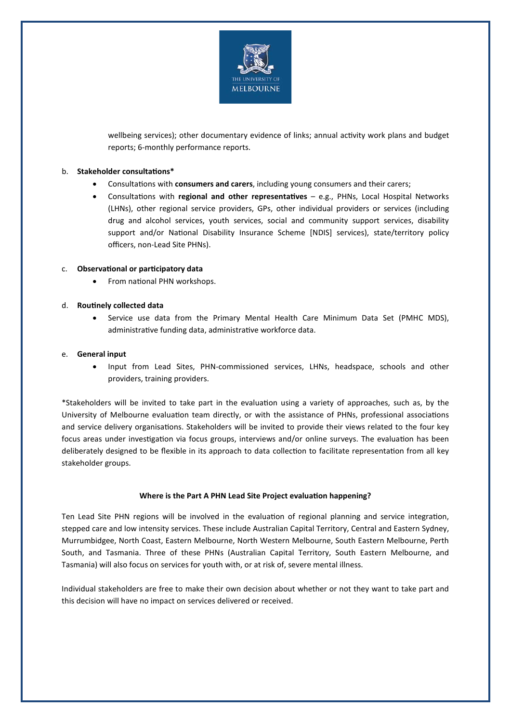

wellbeing services); other documentary evidence of links; annual activity work plans and budget reports; 6-monthly performance reports.

#### b. **Stakeholder consultations\***

- Consultations with **consumers and carers**, including young consumers and their carers;
- Consultations with **regional and other representatives** e.g., PHNs, Local Hospital Networks (LHNs), other regional service providers, GPs, other individual providers or services (including drug and alcohol services, youth services, social and community support services, disability support and/or National Disability Insurance Scheme [NDIS] services), state/territory policy officers, non-Lead Site PHNs).

### c. **Observational or participatory data**

• From national PHN workshops.

#### d. **Routinely collected data**

• Service use data from the Primary Mental Health Care Minimum Data Set (PMHC MDS), administrative funding data, administrative workforce data.

#### e. **General input**

• Input from Lead Sites, PHN-commissioned services, LHNs, headspace, schools and other providers, training providers.

\*Stakeholders will be invited to take part in the evaluation using a variety of approaches, such as, by the University of Melbourne evaluation team directly, or with the assistance of PHNs, professional associations and service delivery organisations. Stakeholders will be invited to provide their views related to the four key focus areas under investigation via focus groups, interviews and/or online surveys. The evaluation has been deliberately designed to be flexible in its approach to data collection to facilitate representation from all key stakeholder groups.

#### **Where is the Part A PHN Lead Site Project evaluation happening?**

Ten Lead Site PHN regions will be involved in the evaluation of regional planning and service integration, stepped care and low intensity services. These include Australian Capital Territory, Central and Eastern Sydney, Murrumbidgee, North Coast, Eastern Melbourne, North Western Melbourne, South Eastern Melbourne, Perth South, and Tasmania. Three of these PHNs (Australian Capital Territory, South Eastern Melbourne, and Tasmania) will also focus on services for youth with, or at risk of, severe mental illness.

Individual stakeholders are free to make their own decision about whether or not they want to take part and this decision will have no impact on services delivered or received.